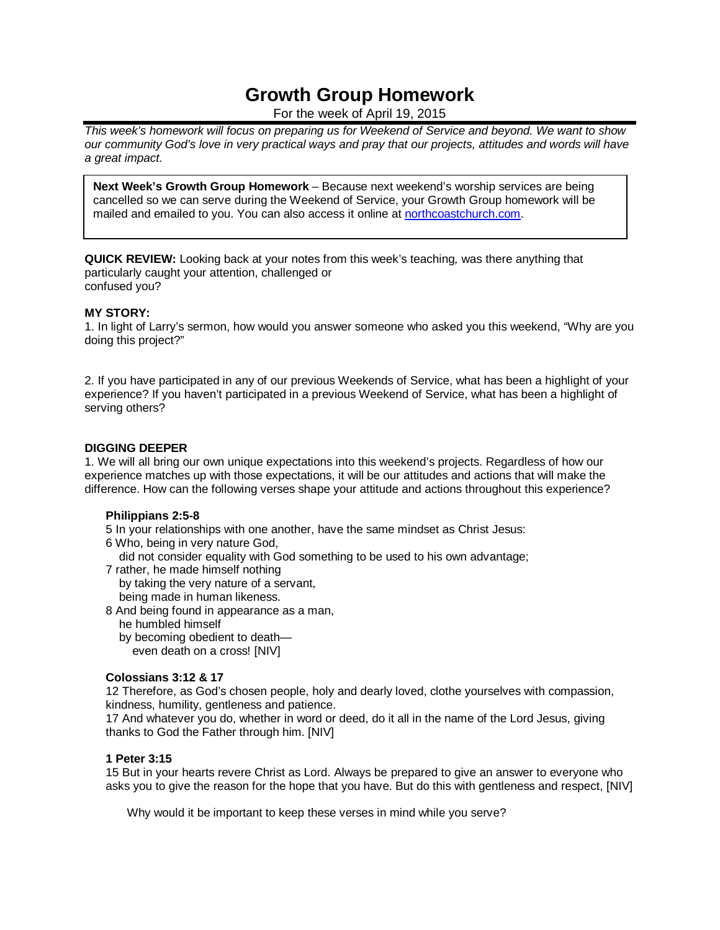# **Growth Group Homework**

For the week of April 19, 2015

*This week's homework will focus on preparing us for Weekend of Service and beyond. We want to show our community God's love in very practical ways and pray that our projects, attitudes and words will have a great impact.*

**Next Week's Growth Group Homework** – Because next weekend's worship services are being cancelled so we can serve during the Weekend of Service, your Growth Group homework will be mailed and emailed to you. You can also access it online at [northcoastchurch.com.](http://www.northcoastchurch.com/)

**QUICK REVIEW:** Looking back at your notes from this week's teaching*,* was there anything that particularly caught your attention, challenged or confused you?

#### **MY STORY:**

1. In light of Larry's sermon, how would you answer someone who asked you this weekend, "Why are you doing this project?"

2. If you have participated in any of our previous Weekends of Service, what has been a highlight of your experience? If you haven't participated in a previous Weekend of Service, what has been a highlight of serving others?

#### **DIGGING DEEPER**

1. We will all bring our own unique expectations into this weekend's projects. Regardless of how our experience matches up with those expectations, it will be our attitudes and actions that will make the difference. How can the following verses shape your attitude and actions throughout this experience?

#### **Philippians 2:5-8**

- 5 In your relationships with one another, have the same mindset as Christ Jesus:
- 6 Who, being in very nature God,
- did not consider equality with God something to be used to his own advantage;
- 7 rather, he made himself nothing by taking the very nature of a servant,
- being made in human likeness.
- 8 And being found in appearance as a man,
	- he humbled himself
	- by becoming obedient to death even death on a cross! [NIV]

# **Colossians 3:12 & 17**

12 Therefore, as God's chosen people, holy and dearly loved, clothe yourselves with compassion, kindness, humility, gentleness and patience.

17 And whatever you do, whether in word or deed, do it all in the name of the Lord Jesus, giving thanks to God the Father through him. [NIV]

# **1 Peter 3:15**

15 But in your hearts revere Christ as Lord. Always be prepared to give an answer to everyone who asks you to give the reason for the hope that you have. But do this with gentleness and respect, [NIV]

Why would it be important to keep these verses in mind while you serve?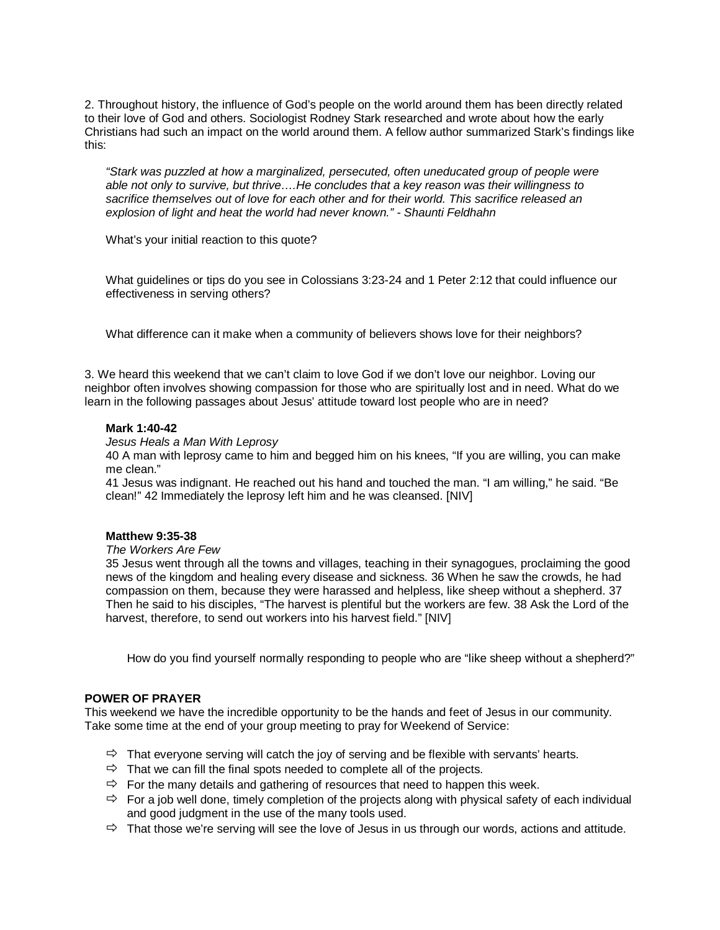2. Throughout history, the influence of God's people on the world around them has been directly related to their love of God and others. Sociologist Rodney Stark researched and wrote about how the early Christians had such an impact on the world around them. A fellow author summarized Stark's findings like this:

*"Stark was puzzled at how a marginalized, persecuted, often uneducated group of people were able not only to survive, but thrive….He concludes that a key reason was their willingness to sacrifice themselves out of love for each other and for their world. This sacrifice released an explosion of light and heat the world had never known." - Shaunti Feldhahn*

What's your initial reaction to this quote?

What guidelines or tips do you see in Colossians 3:23-24 and 1 Peter 2:12 that could influence our effectiveness in serving others?

What difference can it make when a community of believers shows love for their neighbors?

3. We heard this weekend that we can't claim to love God if we don't love our neighbor. Loving our neighbor often involves showing compassion for those who are spiritually lost and in need. What do we learn in the following passages about Jesus' attitude toward lost people who are in need?

#### **Mark 1:40-42**

*Jesus Heals a Man With Leprosy*

40 A man with leprosy came to him and begged him on his knees, "If you are willing, you can make me clean."

41 Jesus was indignant. He reached out his hand and touched the man. "I am willing," he said. "Be clean!" 42 Immediately the leprosy left him and he was cleansed. [NIV]

#### **Matthew 9:35-38**

#### *The Workers Are Few*

35 Jesus went through all the towns and villages, teaching in their synagogues, proclaiming the good news of the kingdom and healing every disease and sickness. 36 When he saw the crowds, he had compassion on them, because they were harassed and helpless, like sheep without a shepherd. 37 Then he said to his disciples, "The harvest is plentiful but the workers are few. 38 Ask the Lord of the harvest, therefore, to send out workers into his harvest field." [NIV]

How do you find yourself normally responding to people who are "like sheep without a shepherd?"

#### **POWER OF PRAYER**

This weekend we have the incredible opportunity to be the hands and feet of Jesus in our community. Take some time at the end of your group meeting to pray for Weekend of Service:

- $\Rightarrow$  That everyone serving will catch the joy of serving and be flexible with servants' hearts.
- $\Rightarrow$  That we can fill the final spots needed to complete all of the projects.
- $\Rightarrow$  For the many details and gathering of resources that need to happen this week.
- $\Rightarrow$  For a job well done, timely completion of the projects along with physical safety of each individual and good judgment in the use of the many tools used.
- $\Rightarrow$  That those we're serving will see the love of Jesus in us through our words, actions and attitude.